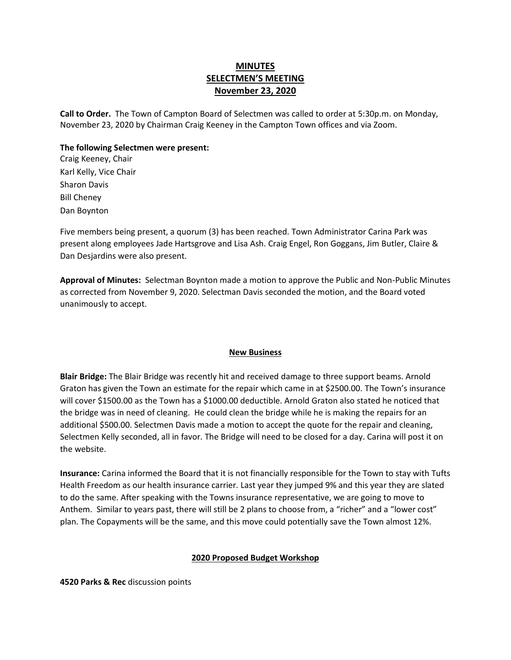# **MINUTES SELECTMEN'S MEETING November 23, 2020**

**Call to Order.** The Town of Campton Board of Selectmen was called to order at 5:30p.m. on Monday, November 23, 2020 by Chairman Craig Keeney in the Campton Town offices and via Zoom.

### **The following Selectmen were present:**

Craig Keeney, Chair Karl Kelly, Vice Chair Sharon Davis Bill Cheney Dan Boynton

Five members being present, a quorum (3) has been reached. Town Administrator Carina Park was present along employees Jade Hartsgrove and Lisa Ash. Craig Engel, Ron Goggans, Jim Butler, Claire & Dan Desjardins were also present.

**Approval of Minutes:** Selectman Boynton made a motion to approve the Public and Non-Public Minutes as corrected from November 9, 2020. Selectman Davis seconded the motion, and the Board voted unanimously to accept.

### **New Business**

**Blair Bridge:** The Blair Bridge was recently hit and received damage to three support beams. Arnold Graton has given the Town an estimate for the repair which came in at \$2500.00. The Town's insurance will cover \$1500.00 as the Town has a \$1000.00 deductible. Arnold Graton also stated he noticed that the bridge was in need of cleaning. He could clean the bridge while he is making the repairs for an additional \$500.00. Selectmen Davis made a motion to accept the quote for the repair and cleaning, Selectmen Kelly seconded, all in favor. The Bridge will need to be closed for a day. Carina will post it on the website.

**Insurance:** Carina informed the Board that it is not financially responsible for the Town to stay with Tufts Health Freedom as our health insurance carrier. Last year they jumped 9% and this year they are slated to do the same. After speaking with the Towns insurance representative, we are going to move to Anthem. Similar to years past, there will still be 2 plans to choose from, a "richer" and a "lower cost" plan. The Copayments will be the same, and this move could potentially save the Town almost 12%.

## **2020 Proposed Budget Workshop**

**4520 Parks & Rec** discussion points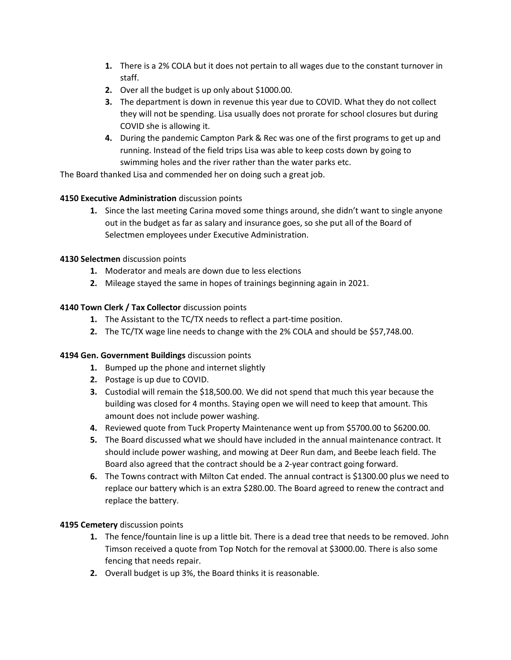- **1.** There is a 2% COLA but it does not pertain to all wages due to the constant turnover in staff.
- **2.** Over all the budget is up only about \$1000.00.
- **3.** The department is down in revenue this year due to COVID. What they do not collect they will not be spending. Lisa usually does not prorate for school closures but during COVID she is allowing it.
- **4.** During the pandemic Campton Park & Rec was one of the first programs to get up and running. Instead of the field trips Lisa was able to keep costs down by going to swimming holes and the river rather than the water parks etc.

The Board thanked Lisa and commended her on doing such a great job.

## **4150 Executive Administration** discussion points

**1.** Since the last meeting Carina moved some things around, she didn't want to single anyone out in the budget as far as salary and insurance goes, so she put all of the Board of Selectmen employees under Executive Administration.

# **4130 Selectmen** discussion points

- **1.** Moderator and meals are down due to less elections
- **2.** Mileage stayed the same in hopes of trainings beginning again in 2021.

# **4140 Town Clerk / Tax Collector** discussion points

- **1.** The Assistant to the TC/TX needs to reflect a part-time position.
- **2.** The TC/TX wage line needs to change with the 2% COLA and should be \$57,748.00.

## **4194 Gen. Government Buildings** discussion points

- **1.** Bumped up the phone and internet slightly
- **2.** Postage is up due to COVID.
- **3.** Custodial will remain the \$18,500.00. We did not spend that much this year because the building was closed for 4 months. Staying open we will need to keep that amount. This amount does not include power washing.
- **4.** Reviewed quote from Tuck Property Maintenance went up from \$5700.00 to \$6200.00.
- **5.** The Board discussed what we should have included in the annual maintenance contract. It should include power washing, and mowing at Deer Run dam, and Beebe leach field. The Board also agreed that the contract should be a 2-year contract going forward.
- **6.** The Towns contract with Milton Cat ended. The annual contract is \$1300.00 plus we need to replace our battery which is an extra \$280.00. The Board agreed to renew the contract and replace the battery.

## **4195 Cemetery** discussion points

- **1.** The fence/fountain line is up a little bit. There is a dead tree that needs to be removed. John Timson received a quote from Top Notch for the removal at \$3000.00. There is also some fencing that needs repair.
- **2.** Overall budget is up 3%, the Board thinks it is reasonable.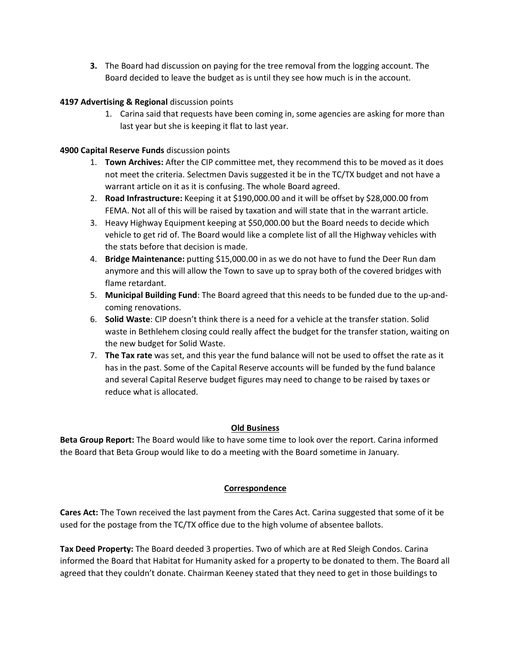**3.** The Board had discussion on paying for the tree removal from the logging account. The Board decided to leave the budget as is until they see how much is in the account.

### **4197 Advertising & Regional** discussion points

1. Carina said that requests have been coming in, some agencies are asking for more than last year but she is keeping it flat to last year.

### **4900 Capital Reserve Funds** discussion points

- 1. **Town Archives:** After the CIP committee met, they recommend this to be moved as it does not meet the criteria. Selectmen Davis suggested it be in the TC/TX budget and not have a warrant article on it as it is confusing. The whole Board agreed.
- 2. **Road Infrastructure:** Keeping it at \$190,000.00 and it will be offset by \$28,000.00 from FEMA. Not all of this will be raised by taxation and will state that in the warrant article.
- 3. Heavy Highway Equipment keeping at \$50,000.00 but the Board needs to decide which vehicle to get rid of. The Board would like a complete list of all the Highway vehicles with the stats before that decision is made.
- 4. **Bridge Maintenance:** putting \$15,000.00 in as we do not have to fund the Deer Run dam anymore and this will allow the Town to save up to spray both of the covered bridges with flame retardant.
- 5. **Municipal Building Fund**: The Board agreed that this needs to be funded due to the up-andcoming renovations.
- 6. **Solid Waste**: CIP doesn't think there is a need for a vehicle at the transfer station. Solid waste in Bethlehem closing could really affect the budget for the transfer station, waiting on the new budget for Solid Waste.
- 7. **The Tax rate** was set, and this year the fund balance will not be used to offset the rate as it has in the past. Some of the Capital Reserve accounts will be funded by the fund balance and several Capital Reserve budget figures may need to change to be raised by taxes or reduce what is allocated.

## **Old Business**

**Beta Group Report:** The Board would like to have some time to look over the report. Carina informed the Board that Beta Group would like to do a meeting with the Board sometime in January.

## **Correspondence**

**Cares Act:** The Town received the last payment from the Cares Act. Carina suggested that some of it be used for the postage from the TC/TX office due to the high volume of absentee ballots.

**Tax Deed Property:** The Board deeded 3 properties. Two of which are at Red Sleigh Condos. Carina informed the Board that Habitat for Humanity asked for a property to be donated to them. The Board all agreed that they couldn't donate. Chairman Keeney stated that they need to get in those buildings to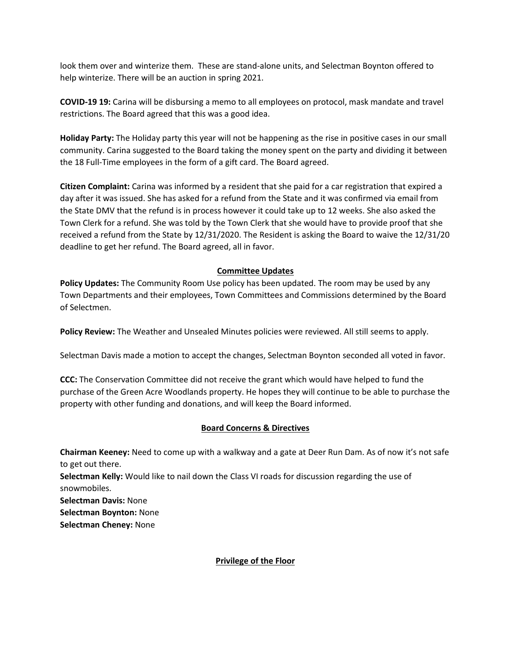look them over and winterize them. These are stand-alone units, and Selectman Boynton offered to help winterize. There will be an auction in spring 2021.

**COVID-19 19:** Carina will be disbursing a memo to all employees on protocol, mask mandate and travel restrictions. The Board agreed that this was a good idea.

**Holiday Party:** The Holiday party this year will not be happening as the rise in positive cases in our small community. Carina suggested to the Board taking the money spent on the party and dividing it between the 18 Full-Time employees in the form of a gift card. The Board agreed.

**Citizen Complaint:** Carina was informed by a resident that she paid for a car registration that expired a day after it was issued. She has asked for a refund from the State and it was confirmed via email from the State DMV that the refund is in process however it could take up to 12 weeks. She also asked the Town Clerk for a refund. She was told by the Town Clerk that she would have to provide proof that she received a refund from the State by 12/31/2020. The Resident is asking the Board to waive the 12/31/20 deadline to get her refund. The Board agreed, all in favor.

### **Committee Updates**

**Policy Updates:** The Community Room Use policy has been updated. The room may be used by any Town Departments and their employees, Town Committees and Commissions determined by the Board of Selectmen.

**Policy Review:** The Weather and Unsealed Minutes policies were reviewed. All still seems to apply.

Selectman Davis made a motion to accept the changes, Selectman Boynton seconded all voted in favor.

**CCC:** The Conservation Committee did not receive the grant which would have helped to fund the purchase of the Green Acre Woodlands property. He hopes they will continue to be able to purchase the property with other funding and donations, and will keep the Board informed.

## **Board Concerns & Directives**

**Chairman Keeney:** Need to come up with a walkway and a gate at Deer Run Dam. As of now it's not safe to get out there. **Selectman Kelly:** Would like to nail down the Class VI roads for discussion regarding the use of snowmobiles. **Selectman Davis:** None **Selectman Boynton:** None

**Selectman Cheney:** None

## **Privilege of the Floor**